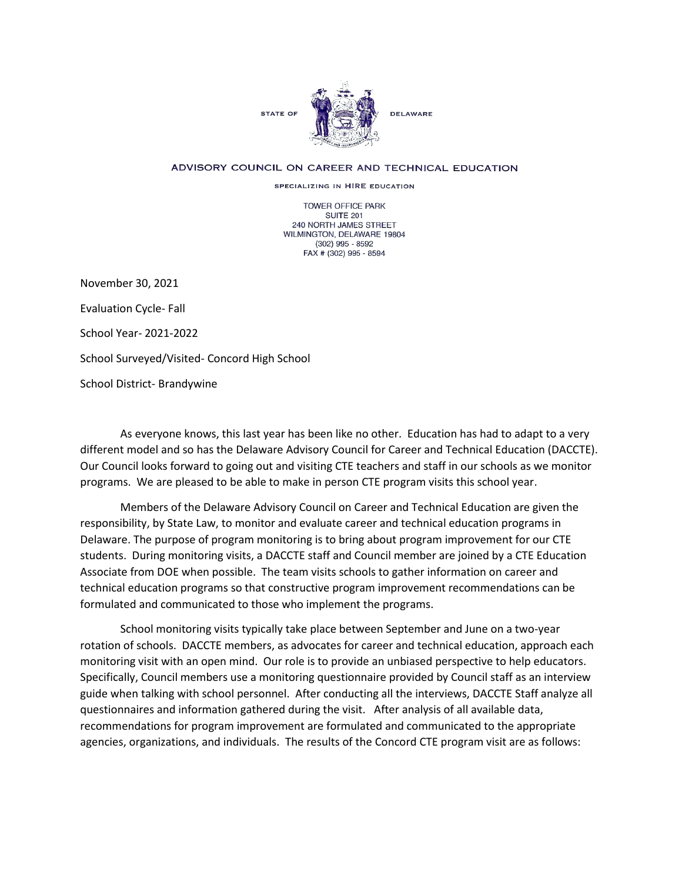

## ADVISORY COUNCIL ON CAREER AND TECHNICAL EDUCATION

SPECIALIZING IN HIRE EDUCATION

TOWER OFFICE PARK SUITE 201 240 NORTH JAMES STREET WILMINGTON, DELAWARE 19804 (302) 995 - 8592 FAX # (302) 995 - 8594

November 30, 2021 Evaluation Cycle- Fall School Year- 2021-2022 School Surveyed/Visited- Concord High School School District- Brandywine

As everyone knows, this last year has been like no other. Education has had to adapt to a very different model and so has the Delaware Advisory Council for Career and Technical Education (DACCTE). Our Council looks forward to going out and visiting CTE teachers and staff in our schools as we monitor programs. We are pleased to be able to make in person CTE program visits this school year.

Members of the Delaware Advisory Council on Career and Technical Education are given the responsibility, by State Law, to monitor and evaluate career and technical education programs in Delaware. The purpose of program monitoring is to bring about program improvement for our CTE students. During monitoring visits, a DACCTE staff and Council member are joined by a CTE Education Associate from DOE when possible. The team visits schools to gather information on career and technical education programs so that constructive program improvement recommendations can be formulated and communicated to those who implement the programs.

School monitoring visits typically take place between September and June on a two-year rotation of schools. DACCTE members, as advocates for career and technical education, approach each monitoring visit with an open mind. Our role is to provide an unbiased perspective to help educators. Specifically, Council members use a monitoring questionnaire provided by Council staff as an interview guide when talking with school personnel. After conducting all the interviews, DACCTE Staff analyze all questionnaires and information gathered during the visit. After analysis of all available data, recommendations for program improvement are formulated and communicated to the appropriate agencies, organizations, and individuals. The results of the Concord CTE program visit are as follows: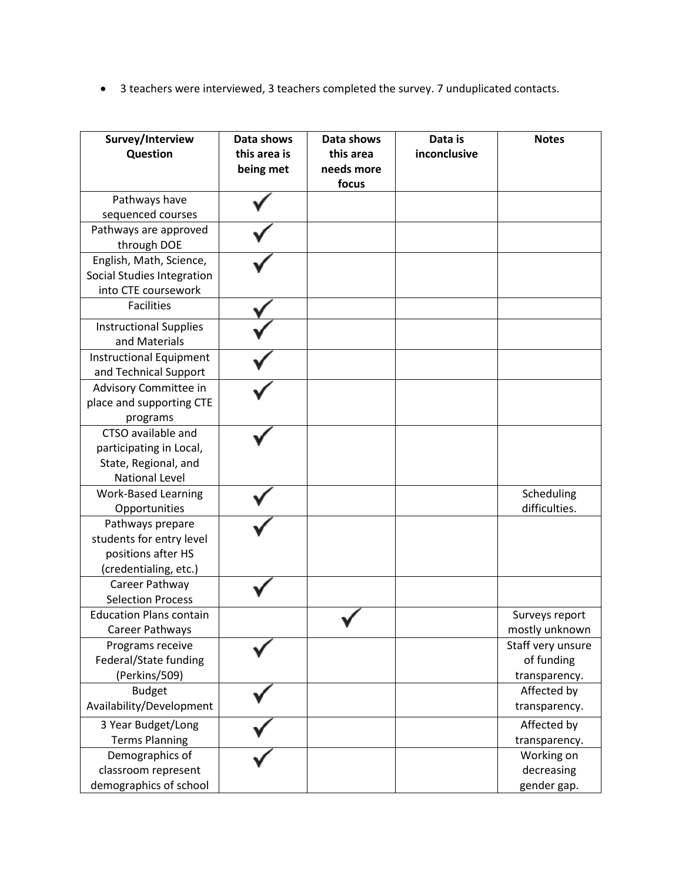• 3 teachers were interviewed, 3 teachers completed the survey. 7 unduplicated contacts.

| Survey/Interview<br>Question   | Data shows<br>this area is<br>being met | Data shows<br>this area<br>needs more<br>focus | Data is<br>inconclusive | <b>Notes</b>      |
|--------------------------------|-----------------------------------------|------------------------------------------------|-------------------------|-------------------|
| Pathways have                  |                                         |                                                |                         |                   |
| sequenced courses              |                                         |                                                |                         |                   |
| Pathways are approved          |                                         |                                                |                         |                   |
| through DOE                    |                                         |                                                |                         |                   |
| English, Math, Science,        |                                         |                                                |                         |                   |
| Social Studies Integration     |                                         |                                                |                         |                   |
| into CTE coursework            |                                         |                                                |                         |                   |
| <b>Facilities</b>              |                                         |                                                |                         |                   |
| <b>Instructional Supplies</b>  |                                         |                                                |                         |                   |
| and Materials                  |                                         |                                                |                         |                   |
| <b>Instructional Equipment</b> |                                         |                                                |                         |                   |
| and Technical Support          |                                         |                                                |                         |                   |
| Advisory Committee in          |                                         |                                                |                         |                   |
| place and supporting CTE       |                                         |                                                |                         |                   |
| programs                       |                                         |                                                |                         |                   |
| CTSO available and             |                                         |                                                |                         |                   |
| participating in Local,        |                                         |                                                |                         |                   |
| State, Regional, and           |                                         |                                                |                         |                   |
| <b>National Level</b>          |                                         |                                                |                         |                   |
| <b>Work-Based Learning</b>     |                                         |                                                |                         | Scheduling        |
| Opportunities                  |                                         |                                                |                         | difficulties.     |
| Pathways prepare               |                                         |                                                |                         |                   |
| students for entry level       |                                         |                                                |                         |                   |
| positions after HS             |                                         |                                                |                         |                   |
| (credentialing, etc.)          |                                         |                                                |                         |                   |
| Career Pathway                 |                                         |                                                |                         |                   |
| <b>Selection Process</b>       |                                         |                                                |                         |                   |
| <b>Education Plans contain</b> |                                         |                                                |                         | Surveys report    |
| Career Pathways                |                                         |                                                |                         | mostly unknown    |
| Programs receive               |                                         |                                                |                         | Staff very unsure |
| Federal/State funding          |                                         |                                                |                         | of funding        |
| (Perkins/509)                  |                                         |                                                |                         | transparency.     |
| <b>Budget</b>                  |                                         |                                                |                         | Affected by       |
| Availability/Development       |                                         |                                                |                         | transparency.     |
| 3 Year Budget/Long             |                                         |                                                |                         | Affected by       |
| <b>Terms Planning</b>          |                                         |                                                |                         | transparency.     |
| Demographics of                |                                         |                                                |                         | Working on        |
| classroom represent            |                                         |                                                |                         | decreasing        |
| demographics of school         |                                         |                                                |                         | gender gap.       |